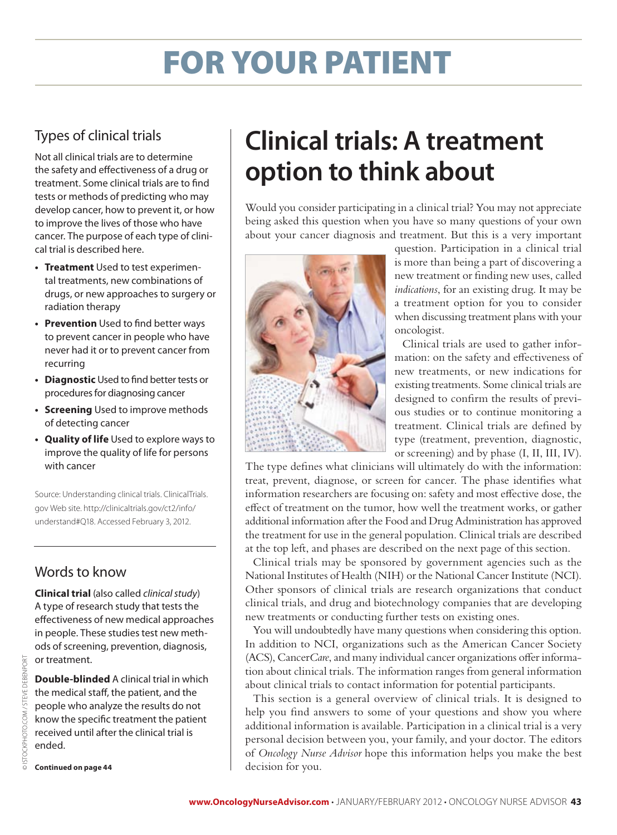# for your patient

### Types of clinical trials

Not all clinical trials are to determine the safety and effectiveness of a drug or treatment. Some clinical trials are to find tests or methods of predicting who may develop cancer, how to prevent it, or how to improve the lives of those who have cancer. The purpose of each type of clinical trial is described here.

- **• Treatment** Used to test experimental treatments, new combinations of drugs, or new approaches to surgery or radiation therapy
- **• Prevention** Used to find better ways to prevent cancer in people who have never had it or to prevent cancer from recurring
- **• Diagnostic** Used to find better tests or procedures for diagnosing cancer
- **• Screening** Used to improve methods of detecting cancer
- **• Quality of life** Used to explore ways to improve the quality of life for persons with cancer

Source: Understanding clinical trials. ClinicalTrials. gov Web site. http://clinicaltrials.gov/ct2/info/ understand#Q18. Accessed February 3, 2012.

### Words to know

**Clinical trial** (also called *clinical study*) A type of research study that tests the effectiveness of new medical approaches in people. These studies test new methods of screening, prevention, diagnosis, or treatment.

**Double-blinded** A clinical trial in which the medical staff, the patient, and the people who analyze the results do not know the specific treatment the patient received until after the clinical trial is ended.

**Continued on page 44**

## **Clinical trials: A treatment option to think about**

Would you consider participating in a clinical trial? You may not appreciate being asked this question when you have so many questions of your own about your cancer diagnosis and treatment. But this is a very important



question. Participation in a clinical trial is more than being a part of discovering a new treatment or finding new uses, called *indications*, for an existing drug. It may be a treatment option for you to consider when discussing treatment plans with your oncologist.

Clinical trials are used to gather information: on the safety and effectiveness of new treatments, or new indications for existing treatments. Some clinical trials are designed to confirm the results of previous studies or to continue monitoring a treatment. Clinical trials are defined by type (treatment, prevention, diagnostic, or screening) and by phase (I, II, III, IV).

The type defines what clinicians will ultimately do with the information: treat, prevent, diagnose, or screen for cancer. The phase identifies what information researchers are focusing on: safety and most effective dose, the effect of treatment on the tumor, how well the treatment works, or gather additional information after the Food and Drug Administration has approved the treatment for use in the general population. Clinical trials are described at the top left, and phases are described on the next page of this section.

Clinical trials may be sponsored by government agencies such as the National Institutes of Health (NIH) or the National Cancer Institute (NCI). Other sponsors of clinical trials are research organizations that conduct clinical trials, and drug and biotechnology companies that are developing new treatments or conducting further tests on existing ones.

You will undoubtedly have many questions when considering this option. In addition to NCI, organizations such as the American Cancer Society (ACS), Cancer*Care*, and many individual cancer organizations offer information about clinical trials. The information ranges from general information about clinical trials to contact information for potential participants.

This section is a general overview of clinical trials. It is designed to help you find answers to some of your questions and show you where additional information is available. Participation in a clinical trial is a very personal decision between you, your family, and your doctor. The editors of *Oncology Nurse Advisor* hope this information helps you make the best decision for you.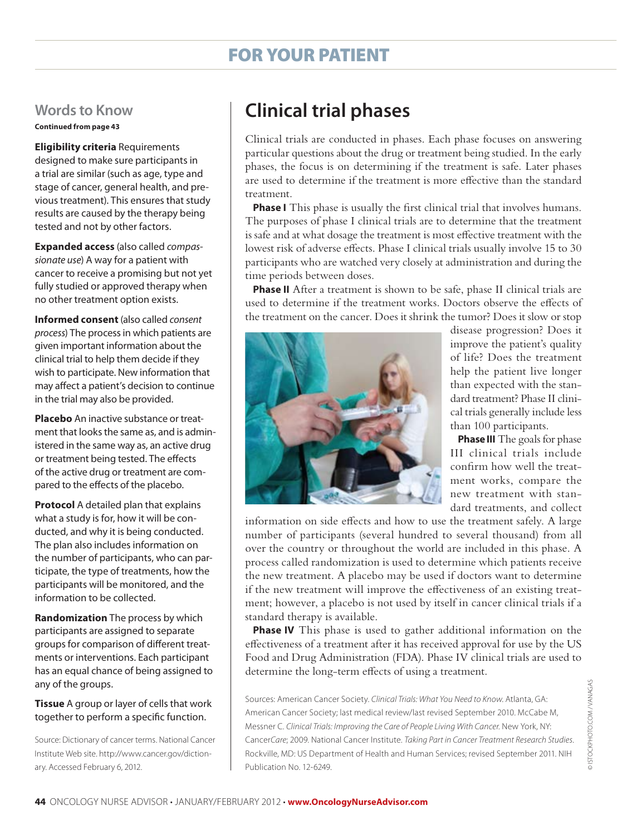### for your patient

#### **Words to Know**

**Continued from page 43**

**Eligibility criteria** Requirements designed to make sure participants in a trial are similar (such as age, type and stage of cancer, general health, and previous treatment). This ensures that study results are caused by the therapy being tested and not by other factors.

**Expanded access** (also called *compassionate use*) A way for a patient with cancer to receive a promising but not yet fully studied or approved therapy when no other treatment option exists.

**Informed consent** (also called *consent process*) The process in which patients are given important information about the clinical trial to help them decide if they wish to participate. New information that may affect a patient's decision to continue in the trial may also be provided.

**Placebo** An inactive substance or treatment that looks the same as, and is administered in the same way as, an active drug or treatment being tested. The effects of the active drug or treatment are compared to the effects of the placebo.

**Protocol** A detailed plan that explains what a study is for, how it will be conducted, and why it is being conducted. The plan also includes information on the number of participants, who can participate, the type of treatments, how the participants will be monitored, and the information to be collected.

**Randomization** The process by which participants are assigned to separate groups for comparison of different treatments or interventions. Each participant has an equal chance of being assigned to any of the groups.

#### **Tissue** A group or layer of cells that work together to perform a specific function.

Source: Dictionary of cancer terms. National Cancer Institute Web site. http://www.cancer.gov/dictionary. Accessed February 6, 2012.

### **Clinical trial phases**

Clinical trials are conducted in phases. Each phase focuses on answering particular questions about the drug or treatment being studied. In the early phases, the focus is on determining if the treatment is safe. Later phases are used to determine if the treatment is more effective than the standard treatment.

**Phase I** This phase is usually the first clinical trial that involves humans. The purposes of phase I clinical trials are to determine that the treatment is safe and at what dosage the treatment is most effective treatment with the lowest risk of adverse effects. Phase I clinical trials usually involve 15 to 30 participants who are watched very closely at administration and during the time periods between doses.

**Phase II** After a treatment is shown to be safe, phase II clinical trials are used to determine if the treatment works. Doctors observe the effects of the treatment on the cancer. Does it shrink the tumor? Does it slow or stop



disease progression? Does it improve the patient's quality of life? Does the treatment help the patient live longer than expected with the standard treatment? Phase II clinical trials generally include less than 100 participants.

**Phase III** The goals for phase III clinical trials include confirm how well the treatment works, compare the new treatment with standard treatments, and collect

information on side effects and how to use the treatment safely. A large number of participants (several hundred to several thousand) from all over the country or throughout the world are included in this phase. A process called randomization is used to determine which patients receive the new treatment. A placebo may be used if doctors want to determine if the new treatment will improve the effectiveness of an existing treatment; however, a placebo is not used by itself in cancer clinical trials if a standard therapy is available.

**Phase IV** This phase is used to gather additional information on the effectiveness of a treatment after it has received approval for use by the US Food and Drug Administration (FDA). Phase IV clinical trials are used to determine the long-term effects of using a treatment.

Sources: American Cancer Society. *Clinical Trials: What You Need to Know*. Atlanta, GA: American Cancer Society; last medical review/last revised September 2010. McCabe M, Messner C. *Clinical Trials: Improving the Care of People Living With Cancer*. New York, NY: Cancer*Care*; 2009. National Cancer Institute. *Taking Part in Cancer Treatment Research Studies*. Rockville, MD: US Department of Health and Human Services; revised September 2011. NIH Publication No. 12-6249.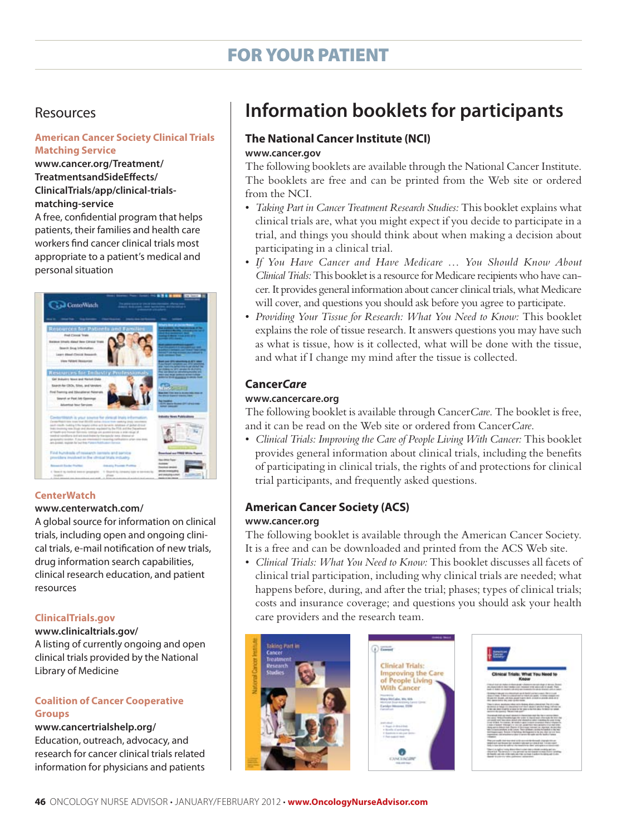### for your patient

#### Resources

#### **American Cancer Society Clinical Trials Matching Service**

**www.cancer.org/Treatment/ TreatmentsandSideEffects/ ClinicalTrials/app/clinical-trialsmatching-service**

A free, confidential program that helps patients, their families and health care workers find cancer clinical trials most appropriate to a patient's medical and personal situation



#### **CenterWatch**

#### **www.centerwatch.com/**

A global source for information on clinical trials, including open and ongoing clinical trials, e-mail notification of new trials, drug information search capabilities, clinical research education, and patient resources

#### **ClinicalTrials.gov**

**www.clinicaltrials.gov/**

A listing of currently ongoing and open clinical trials provided by the National Library of Medicine

#### **Coalition of Cancer Cooperative Groups**

**www.cancertrialshelp.org/** Education, outreach, advocacy, and research for cancer clinical trials related information for physicians and patients

### **Information booklets for participants**

#### **The National Cancer Institute (NCI) www.cancer.gov**

The following booklets are available through the National Cancer Institute. The booklets are free and can be printed from the Web site or ordered from the NCI.

- • *Taking Part in Cancer Treatment Research Studies:* This booklet explains what clinical trials are, what you might expect if you decide to participate in a trial, and things you should think about when making a decision about participating in a clinical trial.
- • *If You Have Cancer and Have Medicare … You Should Know About Clinical Trials:* This booklet is a resource for Medicare recipients who have cancer. It provides general information about cancer clinical trials, what Medicare will cover, and questions you should ask before you agree to participate.
- • *Providing Your Tissue for Research: What You Need to Know:* This booklet explains the role of tissue research. It answers questions you may have such as what is tissue, how is it collected, what will be done with the tissue, and what if I change my mind after the tissue is collected.

#### **Cancer***Care*

#### **www.cancercare.org**

The following booklet is available through Cancer*Care*. The booklet is free, and it can be read on the Web site or ordered from Cancer*Care*.

• *Clinical Trials: Improving the Care of People Living With Cancer:* This booklet provides general information about clinical trials, including the benefits of participating in clinical trials, the rights of and protections for clinical trial participants, and frequently asked questions.

#### **American Cancer Society (ACS)**

#### **www.cancer.org**

The following booklet is available through the American Cancer Society. It is a free and can be downloaded and printed from the ACS Web site.

• *Clinical Trials: What You Need to Know:* This booklet discusses all facets of clinical trial participation, including why clinical trials are needed; what happens before, during, and after the trial; phases; types of clinical trials; costs and insurance coverage; and questions you should ask your health care providers and the research team.